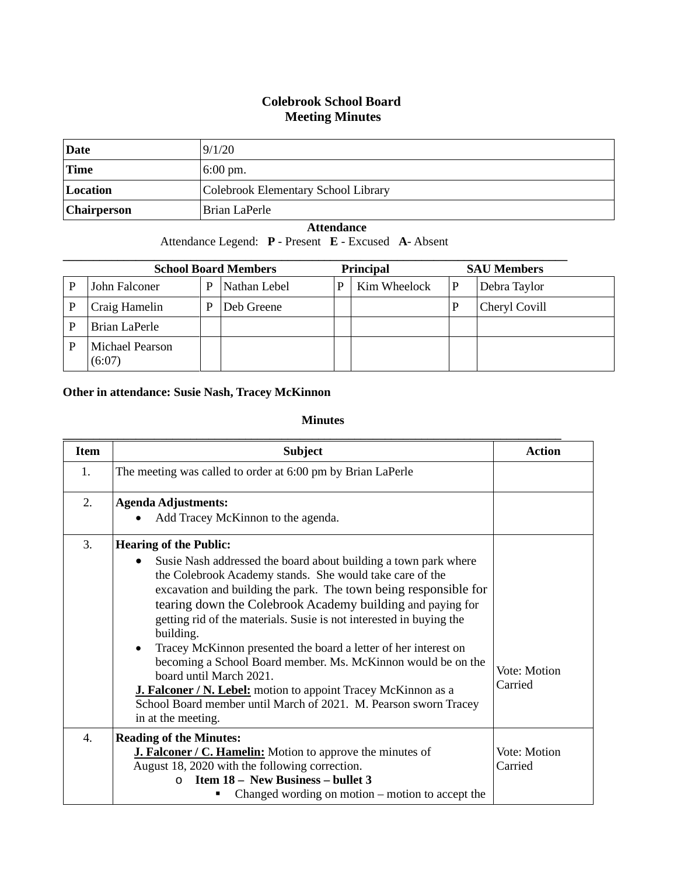## **Colebrook School Board Meeting Minutes**

| Date               | 9/1/20                              |
|--------------------|-------------------------------------|
| <b>Time</b>        | $6:00 \text{ pm}$ .                 |
| Location           | Colebrook Elementary School Library |
| <b>Chairperson</b> | Brian LaPerle                       |

## **Attendance**

Attendance Legend: **P** - Present **E** - Excused **A**- Absent

|   | <b>School Board Members</b>      |   |              | <b>Principal</b> |              | <b>SAU Members</b> |  |
|---|----------------------------------|---|--------------|------------------|--------------|--------------------|--|
| P | John Falconer                    | P | Nathan Lebel | P                | Kim Wheelock | Debra Taylor       |  |
|   | Craig Hamelin                    | P | Deb Greene   |                  |              | Cheryl Covill      |  |
|   | Brian LaPerle                    |   |              |                  |              |                    |  |
|   | <b>Michael Pearson</b><br>(6:07) |   |              |                  |              |                    |  |

## **Other in attendance: Susie Nash, Tracey McKinnon**

## **Minutes**

| <b>Item</b>    | <b>Subject</b>                                                                                                                                                                                                                                                                                                                                                                                                                                                                                                                                                                                                                                                                                                                                | <b>Action</b>           |
|----------------|-----------------------------------------------------------------------------------------------------------------------------------------------------------------------------------------------------------------------------------------------------------------------------------------------------------------------------------------------------------------------------------------------------------------------------------------------------------------------------------------------------------------------------------------------------------------------------------------------------------------------------------------------------------------------------------------------------------------------------------------------|-------------------------|
| $\mathbf{1}$ . | The meeting was called to order at 6:00 pm by Brian LaPerle                                                                                                                                                                                                                                                                                                                                                                                                                                                                                                                                                                                                                                                                                   |                         |
| 2.             | <b>Agenda Adjustments:</b><br>Add Tracey McKinnon to the agenda.                                                                                                                                                                                                                                                                                                                                                                                                                                                                                                                                                                                                                                                                              |                         |
| 3.             | <b>Hearing of the Public:</b><br>Susie Nash addressed the board about building a town park where<br>$\bullet$<br>the Colebrook Academy stands. She would take care of the<br>excavation and building the park. The town being responsible for<br>tearing down the Colebrook Academy building and paying for<br>getting rid of the materials. Susie is not interested in buying the<br>building.<br>Tracey McKinnon presented the board a letter of her interest on<br>$\bullet$<br>becoming a School Board member. Ms. McKinnon would be on the<br>board until March 2021.<br><b>J. Falconer / N. Lebel:</b> motion to appoint Tracey McKinnon as a<br>School Board member until March of 2021. M. Pearson sworn Tracey<br>in at the meeting. | Vote: Motion<br>Carried |
| 4.             | <b>Reading of the Minutes:</b><br><b>J. Falconer / C. Hamelin:</b> Motion to approve the minutes of<br>August 18, 2020 with the following correction.<br><b>Item 18 - New Business - bullet 3</b><br>$\Omega$<br>Changed wording on motion – motion to accept the                                                                                                                                                                                                                                                                                                                                                                                                                                                                             | Vote: Motion<br>Carried |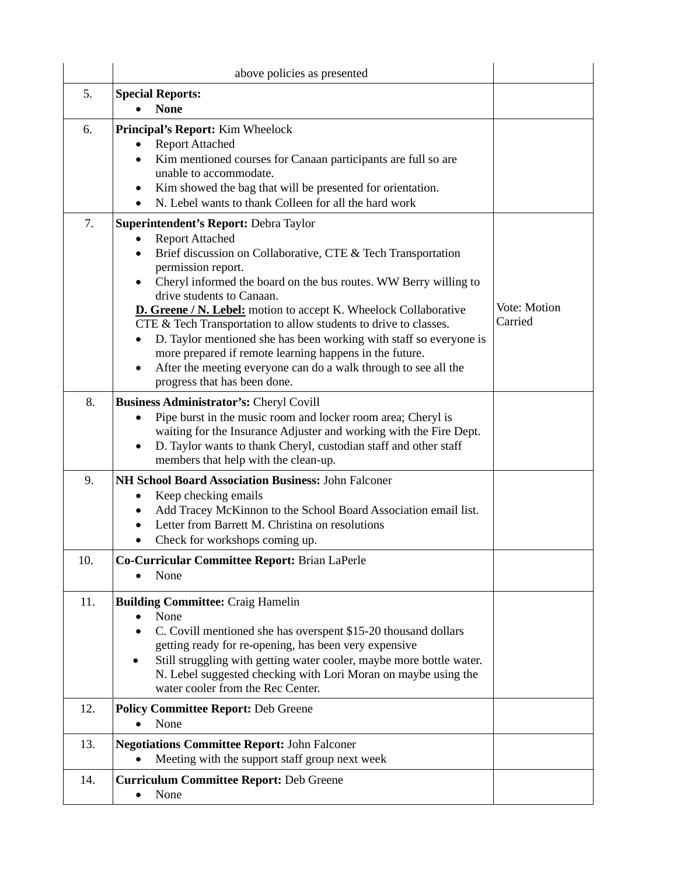|     | above policies as presented                                                                                                                                                                                                                                                                                                                                                                                                                                                                                                                                                                                                             |                         |
|-----|-----------------------------------------------------------------------------------------------------------------------------------------------------------------------------------------------------------------------------------------------------------------------------------------------------------------------------------------------------------------------------------------------------------------------------------------------------------------------------------------------------------------------------------------------------------------------------------------------------------------------------------------|-------------------------|
| 5.  | <b>Special Reports:</b><br><b>None</b>                                                                                                                                                                                                                                                                                                                                                                                                                                                                                                                                                                                                  |                         |
| 6.  | Principal's Report: Kim Wheelock<br><b>Report Attached</b><br>Kim mentioned courses for Canaan participants are full so are<br>unable to accommodate.<br>Kim showed the bag that will be presented for orientation.<br>N. Lebel wants to thank Colleen for all the hard work                                                                                                                                                                                                                                                                                                                                                            |                         |
| 7.  | Superintendent's Report: Debra Taylor<br><b>Report Attached</b><br>Brief discussion on Collaborative, CTE & Tech Transportation<br>permission report.<br>Cheryl informed the board on the bus routes. WW Berry willing to<br>drive students to Canaan.<br>D. Greene / N. Lebel: motion to accept K. Wheelock Collaborative<br>CTE & Tech Transportation to allow students to drive to classes.<br>D. Taylor mentioned she has been working with staff so everyone is<br>more prepared if remote learning happens in the future.<br>After the meeting everyone can do a walk through to see all the<br>٠<br>progress that has been done. | Vote: Motion<br>Carried |
| 8.  | Business Administrator's: Cheryl Covill<br>Pipe burst in the music room and locker room area; Cheryl is<br>$\bullet$<br>waiting for the Insurance Adjuster and working with the Fire Dept.<br>D. Taylor wants to thank Cheryl, custodian staff and other staff<br>$\bullet$<br>members that help with the clean-up.                                                                                                                                                                                                                                                                                                                     |                         |
| 9.  | NH School Board Association Business: John Falconer<br>Keep checking emails<br>Add Tracey McKinnon to the School Board Association email list.<br>Letter from Barrett M. Christina on resolutions<br>Check for workshops coming up.                                                                                                                                                                                                                                                                                                                                                                                                     |                         |
| 10. | Co-Curricular Committee Report: Brian LaPerle<br>None                                                                                                                                                                                                                                                                                                                                                                                                                                                                                                                                                                                   |                         |
| 11. | <b>Building Committee: Craig Hamelin</b><br>None<br>C. Covill mentioned she has overspent \$15-20 thousand dollars<br>getting ready for re-opening, has been very expensive<br>Still struggling with getting water cooler, maybe more bottle water.<br>N. Lebel suggested checking with Lori Moran on maybe using the<br>water cooler from the Rec Center.                                                                                                                                                                                                                                                                              |                         |
| 12. | <b>Policy Committee Report: Deb Greene</b><br>None                                                                                                                                                                                                                                                                                                                                                                                                                                                                                                                                                                                      |                         |
| 13. | <b>Negotiations Committee Report: John Falconer</b><br>Meeting with the support staff group next week                                                                                                                                                                                                                                                                                                                                                                                                                                                                                                                                   |                         |
| 14. | <b>Curriculum Committee Report: Deb Greene</b><br>None                                                                                                                                                                                                                                                                                                                                                                                                                                                                                                                                                                                  |                         |